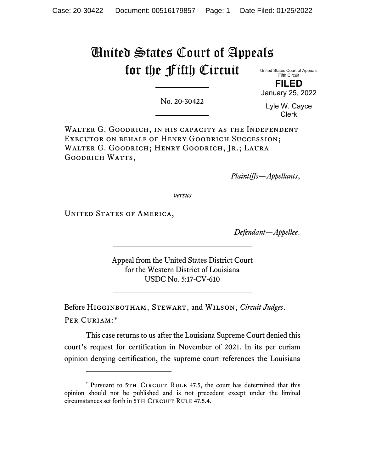# United States Court of Appeals for the Fifth Circuit

United States Court of Appeals Fifth Circuit **FILED**

No. 20-30422

Lyle W. Cayce Clerk

January 25, 2022

WALTER G. GOODRICH, IN HIS CAPACITY AS THE INDEPENDENT Executor on behalf of Henry Goodrich Succession; WALTER G. GOODRICH; HENRY GOODRICH, JR.; LAURA GOODRICH WATTS,

*Plaintiffs—Appellants*,

*versus*

UNITED STATES OF AMERICA,

*Defendant—Appellee*.

Appeal from the United States District Court for the Western District of Louisiana USDC No. 5:17-CV-610

Before Higginbotham, Stewart, and Wilson, *Circuit Judges*. Per Curiam:[\\*](#page-0-0)

This case returns to us after the Louisiana Supreme Court denied this court's request for certification in November of 2021. In its per curiam opinion denying certification, the supreme court references the Louisiana

<span id="page-0-0"></span><sup>\*</sup> Pursuant to 5TH CIRCUIT RULE 47.5, the court has determined that this opinion should not be published and is not precedent except under the limited circumstances set forth in 5TH CIRCUIT RULE 47.5.4.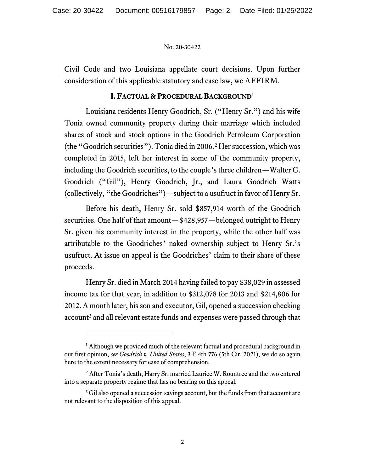Civil Code and two Louisiana appellate court decisions. Upon further consideration of this applicable statutory and case law, we AFFIRM.

## **I. FACTUAL & PROCEDURAL BACKGROUND[1](#page-1-0)**

Louisiana residents Henry Goodrich, Sr. ("Henry Sr.") and his wife Tonia owned community property during their marriage which included shares of stock and stock options in the Goodrich Petroleum Corporation (the "Goodrich securities"). Tonia died in 2006. [2](#page-1-1) Her succession, which was completed in 2015, left her interest in some of the community property, including the Goodrich securities, to the couple's three children—Walter G. Goodrich ("Gil"), Henry Goodrich, Jr., and Laura Goodrich Watts (collectively, "the Goodriches")—subject to a usufruct in favor of Henry Sr.

Before his death, Henry Sr. sold \$857,914 worth of the Goodrich securities. One half of that amount—\$428,957—belonged outright to Henry Sr. given his community interest in the property, while the other half was attributable to the Goodriches' naked ownership subject to Henry Sr.'s usufruct. At issue on appeal is the Goodriches' claim to their share of these proceeds.

Henry Sr. died in March 2014 having failed to pay \$38,029 in assessed income tax for that year, in addition to \$312,078 for 2013 and \$214,806 for 2012. A month later, his son and executor, Gil, opened a succession checking account<sup>[3](#page-1-2)</sup> and all relevant estate funds and expenses were passed through that

<span id="page-1-0"></span><sup>&</sup>lt;sup>1</sup> Although we provided much of the relevant factual and procedural background in our first opinion, *see Goodrich v. United States*, 3 F.4th 776 (5th Cir. 2021), we do so again here to the extent necessary for ease of comprehension.

<span id="page-1-1"></span><sup>&</sup>lt;sup>2</sup> After Tonia's death, Harry Sr. married Laurice W. Rountree and the two entered into a separate property regime that has no bearing on this appeal.

<span id="page-1-2"></span><sup>&</sup>lt;sup>3</sup> Gil also opened a succession savings account, but the funds from that account are not relevant to the disposition of this appeal.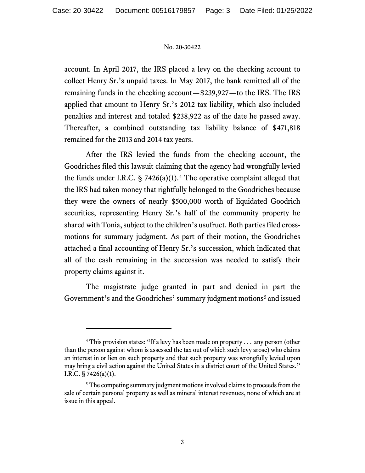account. In April 2017, the IRS placed a levy on the checking account to collect Henry Sr.'s unpaid taxes. In May 2017, the bank remitted all of the remaining funds in the checking account—\$239,927—to the IRS. The IRS applied that amount to Henry Sr.'s 2012 tax liability, which also included penalties and interest and totaled \$238,922 as of the date he passed away. Thereafter, a combined outstanding tax liability balance of \$471,818 remained for the 2013 and 2014 tax years.

After the IRS levied the funds from the checking account, the Goodriches filed this lawsuit claiming that the agency had wrongfully levied the funds under I.R.C.  $\S$  7[4](#page-2-0)26(a)(1).<sup>4</sup> The operative complaint alleged that the IRS had taken money that rightfully belonged to the Goodriches because they were the owners of nearly \$500,000 worth of liquidated Goodrich securities, representing Henry Sr.'s half of the community property he shared with Tonia, subject to the children's usufruct. Both parties filed crossmotions for summary judgment. As part of their motion, the Goodriches attached a final accounting of Henry Sr.'s succession, which indicated that all of the cash remaining in the succession was needed to satisfy their property claims against it.

The magistrate judge granted in part and denied in part the Government's and the Goodriches' summary judgment motions<sup>[5](#page-2-1)</sup> and issued

<span id="page-2-0"></span><sup>&</sup>lt;sup>4</sup> This provision states: "If a levy has been made on property . . . any person (other than the person against whom is assessed the tax out of which such levy arose) who claims an interest in or lien on such property and that such property was wrongfully levied upon may bring a civil action against the United States in a district court of the United States." I.R.C. § 7426(a)(1).

<span id="page-2-1"></span><sup>&</sup>lt;sup>5</sup> The competing summary judgment motions involved claims to proceeds from the sale of certain personal property as well as mineral interest revenues, none of which are at issue in this appeal.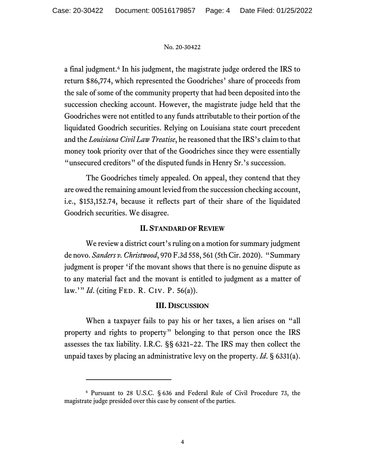a final judgment.<sup>[6](#page-3-0)</sup> In his judgment, the magistrate judge ordered the IRS to return \$86,774, which represented the Goodriches' share of proceeds from the sale of some of the community property that had been deposited into the succession checking account. However, the magistrate judge held that the Goodriches were not entitled to any funds attributable to their portion of the liquidated Goodrich securities. Relying on Louisiana state court precedent and the *Louisiana Civil Law Treatise*, he reasoned that the IRS's claim to that money took priority over that of the Goodriches since they were essentially "unsecured creditors" of the disputed funds in Henry Sr.'s succession.

The Goodriches timely appealed. On appeal, they contend that they are owed the remaining amount levied from the succession checking account, i.e., \$153,152.74, because it reflects part of their share of the liquidated Goodrich securities. We disagree.

## **II. STANDARD OF REVIEW**

We review a district court's ruling on a motion for summary judgment de novo. *Sanders v. Christwood*, 970 F.3d 558, 561 (5th Cir. 2020). "Summary judgment is proper 'if the movant shows that there is no genuine dispute as to any material fact and the movant is entitled to judgment as a matter of law.'" *Id*. (citing Fed. R. Civ. P. 56(a)).

### **III. DISCUSSION**

When a taxpayer fails to pay his or her taxes, a lien arises on "all property and rights to property" belonging to that person once the IRS assesses the tax liability. I.R.C. §§ 6321–22. The IRS may then collect the unpaid taxes by placing an administrative levy on the property. *Id*. § 6331(a).

<span id="page-3-0"></span><sup>6</sup> Pursuant to 28 U.S.C. § 636 and Federal Rule of Civil Procedure 73, the magistrate judge presided over this case by consent of the parties.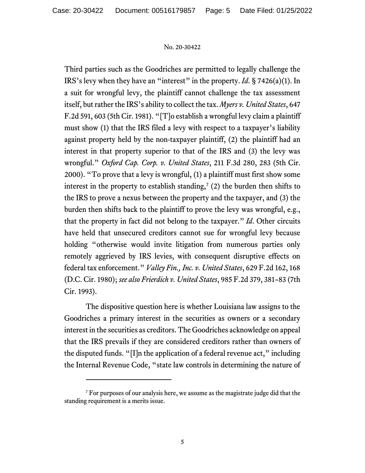Third parties such as the Goodriches are permitted to legally challenge the IRS's levy when they have an "interest" in the property. *Id*. § 7426(a)(1). In a suit for wrongful levy, the plaintiff cannot challenge the tax assessment itself, but rather the IRS's ability to collect the tax. *Myers v. United States*, 647 F.2d 591, 603 (5th Cir. 1981). "[T]o establish a wrongful levy claim a plaintiff must show (1) that the IRS filed a levy with respect to a taxpayer's liability against property held by the non-taxpayer plaintiff, (2) the plaintiff had an interest in that property superior to that of the IRS and (3) the levy was wrongful." *Oxford Cap. Corp. v. United States*, 211 F.3d 280, 283 (5th Cir. 2000). "To prove that a levy is wrongful, (1) a plaintiff must first show some interest in the property to establish standing,<sup>[7](#page-4-0)</sup> (2) the burden then shifts to the IRS to prove a nexus between the property and the taxpayer, and (3) the burden then shifts back to the plaintiff to prove the levy was wrongful, e.g., that the property in fact did not belong to the taxpayer." *Id*. Other circuits have held that unsecured creditors cannot sue for wrongful levy because holding "otherwise would invite litigation from numerous parties only remotely aggrieved by IRS levies, with consequent disruptive effects on federal tax enforcement." *Valley Fin., Inc. v. United States*, 629 F.2d 162, 168 (D.C. Cir. 1980); *see also Frierdich v. United States*, 985 F.2d 379, 381–83 (7th Cir. 1993).

The dispositive question here is whether Louisiana law assigns to the Goodriches a primary interest in the securities as owners or a secondary interest in the securities as creditors. The Goodriches acknowledge on appeal that the IRS prevails if they are considered creditors rather than owners of the disputed funds. "[I]n the application of a federal revenue act," including the Internal Revenue Code, "state law controls in determining the nature of

<span id="page-4-0"></span><sup>&</sup>lt;sup>7</sup> For purposes of our analysis here, we assume as the magistrate judge did that the standing requirement is a merits issue.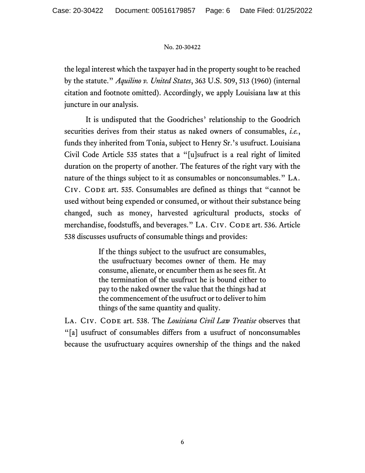the legal interest which the taxpayer had in the property sought to be reached by the statute." *Aquilino v. United States*, 363 U.S. 509, 513 (1960) (internal citation and footnote omitted). Accordingly, we apply Louisiana law at this juncture in our analysis.

It is undisputed that the Goodriches' relationship to the Goodrich securities derives from their status as naked owners of consumables, *i.e.*, funds they inherited from Tonia, subject to Henry Sr.'s usufruct. Louisiana Civil Code Article 535 states that a "[u]sufruct is a real right of limited duration on the property of another. The features of the right vary with the nature of the things subject to it as consumables or nonconsumables." La. CIV. CODE art. 535. Consumables are defined as things that "cannot be used without being expended or consumed, or without their substance being changed, such as money, harvested agricultural products, stocks of merchandise, foodstuffs, and beverages." LA. CIV. CODE art. 536. Article 538 discusses usufructs of consumable things and provides:

> If the things subject to the usufruct are consumables, the usufructuary becomes owner of them. He may consume, alienate, or encumber them as he sees fit. At the termination of the usufruct he is bound either to pay to the naked owner the value that the things had at the commencement of the usufruct or to deliver to him things of the same quantity and quality.

LA. CIV. CODE art. 538. The *Louisiana Civil Law Treatise* observes that "[a] usufruct of consumables differs from a usufruct of nonconsumables because the usufructuary acquires ownership of the things and the naked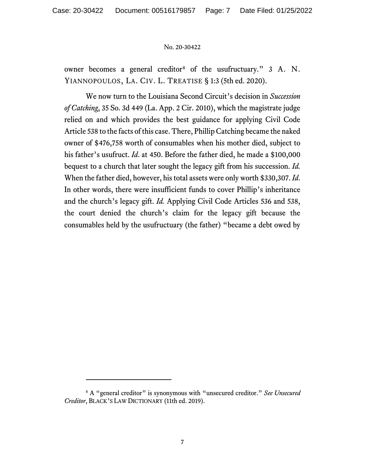owner becomes a general creditor<sup>[8](#page-6-0)</sup> of the usufructuary." 3 A. N. YIANNOPOULOS, LA. CIV. L. TREATISE § 1:3 (5th ed. 2020).

We now turn to the Louisiana Second Circuit's decision in *Succession of Catching*, 35 So. 3d 449 (La. App. 2 Cir. 2010), which the magistrate judge relied on and which provides the best guidance for applying Civil Code Article 538 to the facts of this case. There, Phillip Catching became the naked owner of \$476,758 worth of consumables when his mother died, subject to his father's usufruct. *Id*. at 450. Before the father died, he made a \$100,000 bequest to a church that later sought the legacy gift from his succession. *Id.* When the father died, however, his total assets were only worth \$330,307. *Id*. In other words, there were insufficient funds to cover Phillip's inheritance and the church's legacy gift. *Id.* Applying Civil Code Articles 536 and 538, the court denied the church's claim for the legacy gift because the consumables held by the usufructuary (the father) "became a debt owed by

<span id="page-6-0"></span><sup>8</sup> A "general creditor" is synonymous with "unsecured creditor." *See Unsecured Creditor*, BLACK'S LAW DICTIONARY (11th ed. 2019).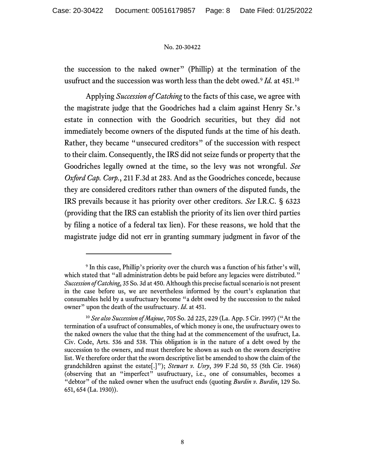the succession to the naked owner" (Phillip) at the termination of the usufruct and the succession was worth less than the debt owed. [9](#page-7-0) *Id.* at 451. [10](#page-7-1)

Applying *Succession of Catching* to the facts of this case, we agree with the magistrate judge that the Goodriches had a claim against Henry Sr.'s estate in connection with the Goodrich securities, but they did not immediately become owners of the disputed funds at the time of his death. Rather, they became "unsecured creditors" of the succession with respect to their claim. Consequently, the IRS did not seize funds or property that the Goodriches legally owned at the time, so the levy was not wrongful. *See Oxford Cap. Corp.*, 211 F.3d at 283. And as the Goodriches concede, because they are considered creditors rather than owners of the disputed funds, the IRS prevails because it has priority over other creditors. *See* I.R.C. § 6323 (providing that the IRS can establish the priority of its lien over third parties by filing a notice of a federal tax lien). For these reasons, we hold that the magistrate judge did not err in granting summary judgment in favor of the

<span id="page-7-0"></span><sup>&</sup>lt;sup>9</sup> In this case, Phillip's priority over the church was a function of his father's will, which stated that "all administration debts be paid before any legacies were distributed." *Succession of Catching*, 35 So. 3d at 450. Although this precise factual scenario is not present in the case before us, we are nevertheless informed by the court's explanation that consumables held by a usufructuary become "a debt owed by the succession to the naked owner" upon the death of the usufructuary. *Id*. at 451.

<span id="page-7-1"></span><sup>10</sup> *See also Succession of Majoue*, 705 So. 2d 225, 229 (La. App. 5 Cir. 1997) ("At the termination of a usufruct of consumables, of which money is one, the usufructuary owes to the naked owners the value that the thing had at the commencement of the usufruct, La. Civ. Code, Arts. 536 and 538. This obligation is in the nature of a debt owed by the succession to the owners, and must therefore be shown as such on the sworn descriptive list. We therefore order that the sworn descriptive list be amended to show the claim of the grandchildren against the estate[.]"); *Stewart v. Usry*, 399 F.2d 50, 55 (5th Cir. 1968) (observing that an "imperfect" usufructuary, i.e., one of consumables, becomes a "debtor" of the naked owner when the usufruct ends (quoting *Burdin v. Burdin*, 129 So. 651, 654 (La. 1930)).